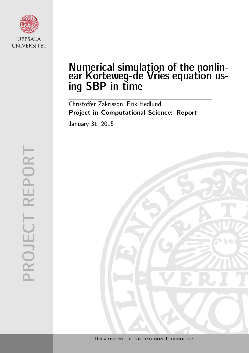

# Numerical simulation of the nonlinear Korteweg-de Vries equation using SBP in time

Christoffer Zakrisson, Erik Hedlund Project in Computational Science: Report January 31, 2015

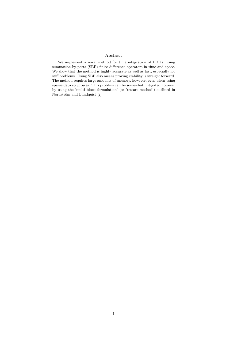#### Abstract

We implement a novel method for time integration of PDE:s, using summation-by-parts (SBP) finite difference operators in time and space. We show that the method is highly accurate as well as fast, especially for stiff problems. Using SBP also means proving stability is straight forward. The method requires large amounts of memory, however, even when using sparse data structures. This problem can be somewhat mitigated however by using the 'multi block formulation' (or 'restart method') outlined in Nordström and Lundquist [2].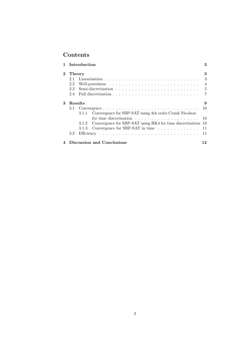# Contents

|          |                            | 1 Introduction                                                            | 3              |  |  |  |
|----------|----------------------------|---------------------------------------------------------------------------|----------------|--|--|--|
| $\bf{2}$ | Theory                     |                                                                           |                |  |  |  |
|          | 2.1                        |                                                                           | 3              |  |  |  |
|          | 2.2                        |                                                                           | $\overline{4}$ |  |  |  |
|          | 2.3                        | $\frac{5}{2}$                                                             |                |  |  |  |
|          | 2.4                        |                                                                           | $\overline{7}$ |  |  |  |
| 3        | Results<br>9               |                                                                           |                |  |  |  |
|          | 3.1                        | 10                                                                        |                |  |  |  |
|          |                            | Convergence for SBP-SAT using 4th order Crank Nicolson<br>3.1.1           |                |  |  |  |
|          |                            |                                                                           |                |  |  |  |
|          |                            | Convergence for SBP-SAT using RK4 for time discretisation 10<br>3.1.2     |                |  |  |  |
|          |                            | Convergence for SBP-SAT in time $\ldots \ldots \ldots \ldots 11$<br>3.1.3 |                |  |  |  |
|          | $3.2^{\circ}$              |                                                                           |                |  |  |  |
| 4        | Discussion and Conclusions |                                                                           |                |  |  |  |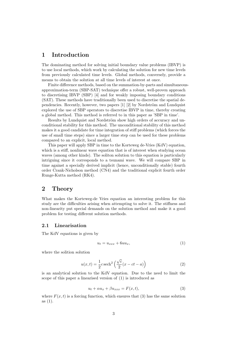# 1 Introduction

The dominating method for solving initial boundary value problems (IBVP) is to use local methods, which work by calculating the solution for new time levels from previously calculated time levels. Global methods, conversely, provide a means to obtain the solution at all time levels of interest at once.

Finite difference methods, based on the summation-by-parts and simultaneousapproximation-term (SBP-SAT) technique offer a robust, well-proven approach to discretising IBVP (SBP) [4] and for weakly imposing boundary conditions (SAT). These methods have traditionally been used to discretise the spatial dependencies. Recently, however, two papers  $[1]$   $[2]$  by Nordström and Lundquist explored the use of SBP operators to discretise IBVP in time, thereby creating a global method. This method is referred to in this paper as 'SBP in time'.

Results by Lundquist and Nordström show high orders of accuracy and unconditional stability for this method. The unconditional stability of this method makes it a good candidate for time integration of stiff problems (which forces the use of small time steps) since a larger time step can be used for these problems compared to an explicit, local method.

This paper will apply SBP in time to the Korteweg de-Vries (KdV) equation, which is a stiff, nonlinear wave equation that is of interest when studying ocean waves (among other kinds). The soliton solution to this equation is particularly intriguing since it corresponds to a tsunami wave. We will compare SBP in time against a specially derived implicit (hence, unconditionally stable) fourth order Crank-Nicholson method (CN4) and the traditional explicit fourth order Runge-Kutta method (RK4).

# 2 Theory

What makes the Korteweg-de Vries equation an interesting problem for this study are the difficulties arising when attempting to solve it. The stiffness and non-linearity put special demands on the solution method and make it a good problem for testing different solution methods.

#### 2.1 Linearisation

The KdV equations is given by

$$
u_t = u_{xxx} + 6uu_x, \tag{1}
$$

where the solition solution

$$
u(x,t) = \frac{1}{2}c \operatorname{sech}^2\left(\frac{\sqrt{c}}{2}(x - ct - a)\right)
$$
 (2)

is an analytical solution to the KdV equation. Due to the need to limit the scope of this paper a linearised version of (1) is introduced as

$$
u_t + \alpha u_x + \beta u_{xxx} = F(x, t), \tag{3}
$$

where  $F(x, t)$  is a forcing function, which ensures that (3) has the same solution as (1).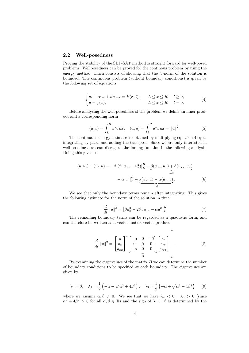#### 2.2 Well-posedness

Proving the stability of the SBP-SAT method is straight forward for well-posed problems. Wellposedness can be proved for the continous problem by using the energy method, which consists of showing that the  $l_2$ -norm of the solution is bounded. The continuous problem (without boundary conditions) is given by the following set of equations

$$
\begin{cases} u_t + \alpha u_x + \beta u_{xxx} = F(x, t), & L \le x \le R, \quad t \ge 0, \\ u = f(x), & L \le x \le R, \quad t = 0. \end{cases}
$$
 (4)

Before analysing the well-posedness of the problem we define an inner product and a corresponding norm

$$
(u,v) = \int_{L}^{R} u^* v \, dx, \quad (u,u) = \int_{L}^{R} u^* u \, dx = ||u||^2. \tag{5}
$$

The continuous energy estimate is obtained by multiplying equation 4 by  $u$ , integrating by parts and adding the transpose. Since we are only interested in well-posedness we can disregard the forcing function in the following analysis. Doing this gives us

$$
(u, u_t) + (u_t, u) = -\beta (2uu_{xx} - u_x^2) \Big|_L^R - \underbrace{\beta (u_{xx}, u_x) + \beta (u_{xx}, u_x)}_{=0}
$$

$$
- \alpha u^2 \Big|_L^R + \underbrace{\alpha (u_x, u) - \alpha (u_x, u)}_{=0}.
$$
(6)

We see that only the boundary terms remain after integrating. This gives the following estimate for the norm of the solution in time.

$$
\frac{d}{dt} ||u||^2 = \left[\beta u_x^2 - 2\beta u u_{xx} - \alpha u^2\right]_L^R \tag{7}
$$

The remaining boundary terms can be regarded as a quadratic form, and can therefore be written as a vector-matrix-vector product

$$
\frac{d}{dt} ||u||^2 = \begin{bmatrix} u \\ u_x \\ u_{xx} \end{bmatrix}^* \underbrace{\begin{bmatrix} -\alpha & 0 & -\beta \\ 0 & \beta & 0 \\ -\beta & 0 & 0 \end{bmatrix}}_{\text{B}} \begin{bmatrix} u \\ u_x \\ u_{xx} \end{bmatrix} \begin{bmatrix} R \\ u_x \\ u_{xx} \end{bmatrix}.
$$
\n(8)

By examining the eigenvalues of the matrix  $B$  we can determine the number of boundary conditions to be specified at each boundary. The eigenvalues are given by

$$
\lambda_1 = \beta, \quad \lambda_2 = \frac{1}{2} \left( -\alpha - \sqrt{\alpha^2 + 4\beta^2} \right), \quad \lambda_3 = \frac{1}{2} \left( -\alpha + \sqrt{\alpha^2 + 4\beta^2} \right) \tag{9}
$$

where we assume  $\alpha, \beta \neq 0$ . We see that we have  $\lambda_2 < 0$ ,  $\lambda_3 > 0$  (since  $\alpha^2 + 4\beta^2 > 0$  for all  $\alpha, \beta \in \mathbb{R}$ ) and the sign of  $\lambda_1 = \beta$  is determined by the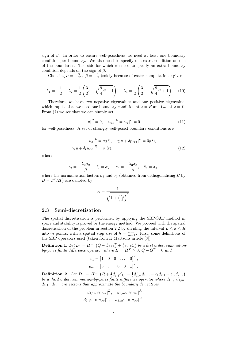sign of  $\beta$ . In order to ensure well-posedness we need at least one boundary condition per boundary. We also need to specify one extra condition on one of the boundaries. The side for which we need to specify an extra boundary condition depends on the sign of  $\beta$ .

Choosing  $\alpha = -\frac{3}{2}c, \ \beta = -\frac{1}{2}$  (solely because of easier computations) gives

$$
\lambda_1 = -\frac{1}{2}, \quad \lambda_2 = \frac{1}{2} \left( \frac{3}{2} c - \sqrt{\frac{9}{4} c^2 + 1} \right), \quad \lambda_3 = \frac{1}{2} \left( \frac{3}{2} c + \sqrt{\frac{9}{4} c^2 + 1} \right).
$$
 (10)

Therefore, we have two negative eigenvalues and one positive eigenvalue, which implies that we need one boundary condition at  $x = R$  and two at  $x = L$ . From (7) we see that we can simply set

$$
u|^R = 0, \quad u_{xx}|^L = u_x|^L = 0 \tag{11}
$$

for well-posedness. A set of strongly well-posed boundary conditions are

$$
u_x|^{L} = g_l(t), \quad \gamma_l u + \delta_l u_{xx}|^{L} = \tilde{g}_l(t),
$$
  

$$
\gamma_r u + \delta_r u_{xx}|^{R} = g_r(t),
$$
 (12)

where

$$
\gamma_l = -\frac{\lambda_2 \sigma_2}{\beta}, \quad \delta_l = \sigma_2, \quad \gamma_r = -\frac{\lambda_3 \sigma_3}{\beta}, \quad \delta_r = \sigma_3,
$$

where the normalisation factors  $\sigma_2$  and  $\sigma_3$  (obtained from orthogonalising B by  $B = T^T \Lambda T$  are denoted by

$$
\sigma_i = \frac{1}{\sqrt{1 + \left(\frac{\lambda_i}{\beta}\right)^2}}.
$$

### 2.3 Semi-discretisation

The spatial discretisation is performed by applying the SBP-SAT method in space and stability is proved by the energy method. We proceed with the spatial discretisation of the problem in section 2.2 by dividing the interval  $L \leq x \leq R$ into m points, with a spatial step size of  $h = \frac{R-L}{m-1}$ . First, some definitions of the SBP operators used (taken from K.Mattsons article [3]).

**Definition 1.** Let  $D_1 = H^{-1} (Q - \frac{1}{2} e_1 e_1^T + \frac{1}{2} e_m e_m^T)$  be a first order, summationby-parts finite difference operator where  $H = H^T \geq 0$ ,  $Q + Q^T = 0$  and

$$
e_1 = \begin{bmatrix} 1 & 0 & 0 & \dots & 0 \end{bmatrix}^T,
$$
\n
$$
e_m = \begin{bmatrix} 0 & \dots & 0 & 0 & 1 \end{bmatrix}^T.
$$

Definition 2. Let  $D_3 = H^{-1} \left( R + \frac{1}{2} d_{1,1}^T d_{1,1} - \frac{1}{2} d_{1,m}^T d_{1,m} - e_1 d_{2,1} + e_m d_{2,m} \right)$ be a third order, summation-by-parts finite difference operator where  $d_{1,1}, d_{1,m}$ ,  $d_{2,1}$ ,  $d_{2,m}$  are vectors that approximate the boundary derivatives

$$
d_{1,1}v \approx u_x \vert^L, \quad d_{1,m}v \approx u_x \vert^R,
$$
  

$$
d_{2,1}v \approx u_{xx} \vert^L, \quad d_{2,m}v \approx u_{xx} \vert^R.
$$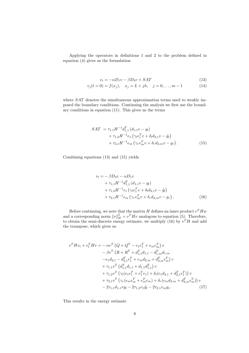Applying the operators in definitions 1 and 2 to the problem defined in equation (4) gives us the formulation

$$
v_t = -\alpha D_1 v - \beta D_3 v + SAT \tag{13}
$$

$$
v_j(t=0) = f(x_j), \quad x_j = L + jh, \quad j = 0, \dots, m-1 \tag{14}
$$

where  $SAT$  denotes the simultaneous approximation terms used to weakly imposed the boundary conditions. Continuing the analysis we first use the boundary conditions in equation (11). This gives us the terms

$$
SAT = \tau_{1,1} H^{-1} d_{1,1}^{T} (d_{1,1}v - g_l)
$$
  
+ 
$$
\tau_{1,2} H^{-1} e_1 (\gamma_l e_1^{T} v + \delta_l d_{2,1}v - \tilde{g}_l)
$$
  
+ 
$$
\tau_{2,1} H^{-1} e_m (\gamma_r e_m^{T} v + \delta_r d_{2,m}v - g_r).
$$
 (15)

Combining equations (13) and (15) yields

$$
v_t = -\beta D_3 v - \alpha D_1 v
$$
  
+  $\tau_{1,1} H^{-1} d_{1,1}^T (d_{1,1} v - g_t)$   
+  $\tau_{1,2} H^{-1} e_1 (\gamma_t e_1^T v + \delta_t d_{2,1} v - \tilde{g}_t)$   
+  $\tau_{2,1} H^{-1} e_m (\gamma_r e_m^T v + \delta_r d_{2,m} v - g_r).$  (16)

Before continuing, we note that the matrix H defines an inner product  $v<sup>T</sup> H w$ and a corresponding norm  $||v||_H^2 = v^T H v$  analogous to equation (5). Therefore, to obtain the semi-discrete energy estimate, we multiply (16) by  $v<sup>T</sup>H$  and add the transpose, which gives us

$$
v^{T}Hv_{t} + v_{t}^{T}Hv = -\alpha v^{T} \left(Q + Q^{T} - e_{1}e_{1}^{T} + e_{m}e_{m}^{T}\right)v
$$
  
\n
$$
- \beta v^{T} \left(R + R^{T} + d_{1,1}^{T}d_{1,1} - d_{1,m}^{T}d_{1,m}\right)
$$
  
\n
$$
-e_{1}d_{2,1} - d_{2,1}^{T}e_{1}^{T} + e_{m}d_{2,m} + d_{2,m}^{T}e_{m}^{T}\right)v
$$
  
\n
$$
+ \tau_{1,1}v^{T} \left(d_{1,1}^{T}d_{1,1} + d_{1,1}d_{1,1}^{T}\right)v
$$
  
\n
$$
+ \tau_{1,2}v^{T} \left(\gamma_{l}(e_{1}e_{1}^{T} + e_{1}^{T}e_{1}) + \delta_{l}(e_{1}d_{2,1} + d_{2,1}^{T}e_{1}^{T})\right)v
$$
  
\n
$$
+ \tau_{2,1}v^{T} \left(\gamma_{r}(e_{m}e_{m}^{T} + e_{m}^{T}e_{m}) + \delta_{r}(e_{m}d_{2,m} + d_{2,m}^{T}e_{m}^{T})\right)v
$$
  
\n
$$
- 2\tau_{1,1}d_{1,1}vg_{l} - 2\tau_{1,2}v_{1}\tilde{g}_{l} - 2\tau_{2,1}v_{m}g_{r}.
$$
\n(17)

This results in the energy estimate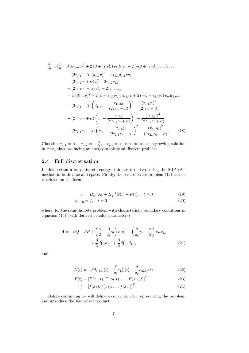$$
\frac{d}{dt} ||v||_H^2 = \beta (d_{1,m}v)^2 + 2(\beta + \tau_{1,2}\delta_l) v_1 d_{2,1}v + 2(-\beta + \tau_{2,1}\delta_r) v_m d_{2,m}v \n+ (2\tau_{1,1} - \beta) (d_{1,1}v)^2 - 2\tau_{1,1}d_{1,1}vg_l \n+ (2\tau_{1,2}\gamma_l + \alpha) v_1^2 - 2\tau_{1,2}v_1\tilde{g}_l \n+ (2\tau_{2,1}\gamma_r - \alpha) v_m^2 - 2\tau_{2,1}v_mg_r \n= \beta (d_{1,m}v)^2 + 2(\beta + \tau_{1,2}\delta_l) v_1 d_{2,1}v + 2(-\beta + \tau_{2,1}\delta_r) v_m d_{2,m}v \n+ (2\tau_{1,1} - \beta) \left(d_{1,1}v - \frac{\tau_{1,1}g_l}{(2\tau_{1,1} - \beta)}\right)^2 - \frac{(\tau_{1,1}g_l)^2}{(2\tau_{1,1} - \beta)} \n+ (2\tau_{1,2}\gamma_l + \alpha) \left(v_1 - \frac{\tau_{1,2}\tilde{g}_l}{(2\tau_{1,2}\gamma_l + \alpha)}\right)^2 - \frac{(\tau_{1,2}\tilde{g}_l)^2}{(2\tau_{1,2}\gamma_l + \alpha)} \n+ (2\tau_{2,1}\gamma_r - \alpha) \left(v_m - \frac{\tau_{2,1}g_r}{(2\tau_{2,1}\gamma_r - \alpha)}\right)^2 - \frac{(\tau_{2,1}g_r)^2}{(2\tau_{2,1}\gamma_r - \alpha)}.
$$
\n(18)

Choosing  $\tau_{1,1} = \beta$ ,  $\tau_{1,2} = -\frac{\beta}{\delta_l}$ ,  $\tau_{2,1} = \frac{\beta}{\delta_r}$  results in a non-growing solution in time, thus producing an energy-stable semi-discrete problem.

## 2.4 Full discretisation

In this section a fully discrete energy estimate is derived using the SBP-SAT method in both time and space. Firstly, the semi-discrete problem (13) can be rewritten on the form

$$
v_t = H_x^{-1}Av + H_x^{-1}G(t) + F(t), \quad t \ge 0
$$
\n(19)

$$
v|_{t=0} = f, \quad t = 0 \tag{20}
$$

where, for the semi-discrete problem with characteristic boundary conditions in equation (15) (with derived penalty parameters)

$$
A = -\alpha Q - \beta R + \left(\frac{\alpha}{2} - \frac{\beta}{\delta_l}\gamma_l\right)e_1e_1^T + \left(\frac{\beta}{\delta_r}\gamma_r - \frac{\alpha}{2}\right)e_me_m^T + \frac{\beta}{2}d_{1,1}^T d_{1,1} + \frac{\beta}{2}d_{1,m}^T d_{1,m}
$$
\n(21)

and

$$
G(t) = -\beta d_{1,1} g_l(t) - \frac{\beta}{\delta_l} e_1 \tilde{g}_l(t) - \frac{\beta}{\delta_r} e_m g_r(t)
$$
\n(22)

$$
F(t) = [F(x_1, t), F(x_2, t), \dots, F(x_m, t)]^T
$$
\n(23)

$$
f = [f(x_1), f(x_2), \dots, f(x_m)]^T
$$
 (24)

Before continuing we will define a convention for representing the problem, and introduce the Kronecker product.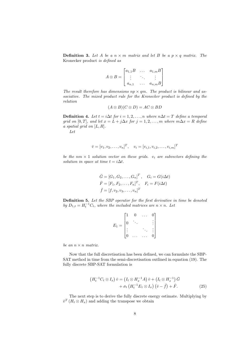**Definition 3.** Let A be a  $n \times m$  matrix and let B be a  $p \times q$  matrix. The Kronecker product is defined as

|                 | $a_{1,1}B$ | $\cdots$ | $a_{1,m}B$ ] |
|-----------------|------------|----------|--------------|
| $A \otimes B =$ |            |          |              |
|                 | $a_{n,1}$  | $\cdots$ | $a_{n,m}B$   |

The result therefore has dimensions  $np \times qm$ . The product is bilinear and associative. The mixed product rule for the Kronecker product is defined by the relation

$$
(A \otimes B)(C \otimes D) = AC \otimes BD
$$

**Definition 4.** Let  $t = i\Delta t$  for  $i = 1, 2, ..., n$  where  $n\Delta t = T$  define a temporal grid on [0, T], and let  $x = L + j\Delta x$  for  $j = 1, 2, ..., m$  where  $m\Delta x = R$  define a spatial grid on  $[L, R]$ .

Let

$$
\bar{v} = [v_1, v_2, \dots, v_n]^T, \quad v_i = [v_{i,1}, v_{i,2}, \dots, v_{i,m}]^T
$$

be the nm  $\times$  1 solution vector on these grids.  $v_i$  are subvectors defining the solution in space at time  $t = i\Delta t$ .

$$
\bar{G} = [G_1, G_2, \dots, G_n]^T, \quad G_i = G(i\Delta t)
$$
  

$$
\bar{F} = [F_1, F_2, \dots, F_n]^T, \quad F_i = F(i\Delta t)
$$
  

$$
\bar{f} = [f, v_2, v_3, \dots, v_n]^T
$$

Definition 5. Let the SBP operator for the first derivative in time be denoted by  $D_{1,t} = H_t^{-1}C_t$ , where the included matrices are  $n \times n$ . Let

$$
E_1 = \begin{bmatrix} 1 & 0 & \dots & 0 \\ 0 & \ddots & & \vdots \\ \vdots & & \ddots & \vdots \\ 0 & \dots & \dots & 0 \end{bmatrix}
$$

be an  $n \times n$  matrix.

Now that the full discretisation has been defined, we can formulate the SBP-SAT method in time from the semi-discretisation outlined in equation (19). The fully discrete SBP-SAT formulation is

$$
\begin{aligned} \left(H_t^{-1}C_t \otimes I_x\right)\bar{v} &= \left(I_t \otimes H_x^{-1}A\right)\bar{v} + \left(I_t \otimes H_x^{-1}\right)\bar{G} \\ &+ \sigma_t\left(H_t^{-1}E_1 \otimes I_x\right)\left(\bar{v} - \bar{f}\right) + \bar{F}.\end{aligned} \tag{25}
$$

The next step is to derive the fully discrete energy estimate. Multiplying by  $\bar{v}^T(H_t \otimes H_x)$  and adding the transpose we obtain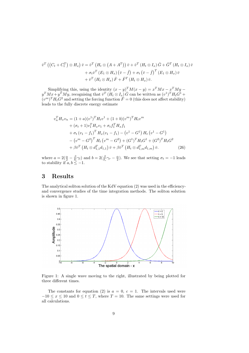$$
\overline{v}^T \left( \left( C_t + C_t^T \right) \otimes H_x \right) \overline{v} = \overline{v}^T \left( H_t \otimes \left( A + A^T \right) \right) \overline{v} + \overline{v}^T \left( H_t \otimes I_x \right) \overline{G} + \overline{G}^T \left( H_t \otimes I_x \right) \overline{v} \n+ \sigma_t \overline{v}^T \left( E_1 \otimes H_x \right) \left( \overline{v} - \overline{f} \right) + \sigma_t \left( \overline{v} - \overline{f} \right)^T \left( E_1 \otimes H_x \right) \overline{v} \n+ \overline{v}^T \left( H_t \otimes H_x \right) \overline{F} + \overline{F}^T \left( H_t \otimes H_x \right) \overline{v}.
$$

Simplifying this, using the identity  $(x - y)^T M(x - y) = x^T M x - x^T M y$  $y^T M x + y^T M y$ , recognising that  $\bar{v}^T (H_t \otimes I_x) \bar{G}$  can be written as  $(v^1)^T H_t G^1 +$  $(v<sup>m</sup>)<sup>T</sup>H<sub>t</sub>G<sup>2</sup>$  and setting the forcing function  $\tilde{F}=0$  (this does not affect stability) leads to the fully discrete energy estimate

$$
v_n^T H_x v_n = (1+a)(v^1)^T H_t v^1 + (1+b)(v^m)^T H_t v^m
$$
  
+  $(\sigma_t + 1)v_1^T H_x v_1 + \sigma_t f_1^T H_x f_1$   
+  $\sigma_t (v_1 - f_1)^T H_x (v_1 - f_1) - (v^1 - G^1) H_t (v^1 - G^1)$   
-  $(v^m - G^2)^T H_t (v^m - G^2) + (G^1)^T H_t G^1 + (G^2)^T H_t G^2$   
+  $\beta \bar{v}^T (H_t \otimes d_{1,1}^T d_{1,1}) \bar{v} + \beta \bar{v}^T (H_t \otimes d_{1,m}^T d_{1,m}) \bar{v}.$  (26)

where  $a = 2(\frac{\alpha}{2} - \frac{\beta}{\delta_t}\gamma_l)$  and  $b = 2(\frac{\beta}{\delta_r}\gamma_r - \frac{\alpha}{2})$ . We see that setting  $\sigma_t = -1$  leads to stability if  $a, b \leq -1$ .

# 3 Results

The analytical soliton solution of the KdV equation (2) was used in the efficiencyand convergence studies of the time integration methods. The soliton solution is shown in figure 1.



Figure 1: A single wave moving to the right, illustrated by being plotted for three different times.

The constants for equation (2) is  $a = 0, c = 1$ . The intervals used were  $-10 \le x \le 10$  and  $0 \le t \le T$ , where  $T = 10$ . The same settings were used for all calculations.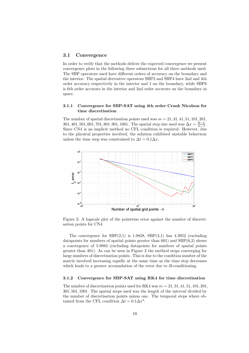#### 3.1 Convergence

In order to verify that the methods deliver the expected convergence we present convergence plots in the following three subsections for all three methods used. The SBP operators used have different orders of accuracy on the boundary and the interior. The spatial derivative operators SBP2 and SBP4 have 2nd and 4th order accuracy respectively in the interior and 1 on the boundary, while SBP6 is 6th order accurate in the interior and 2nd order accurate on the boundary in space.

#### 3.1.1 Convergence for SBP-SAT using 4th order Crank Nicolson for time discretisation

The number of spatial discretisation points used was  $m = 21, 31, 41, 51, 101, 201$ , 301, 401, 501, 601, 701, 801, 901, 1001. The spatial step size used was  $\Delta x = \frac{R-L}{m-1}$ . Since CN4 is an implicit method no CFL condition is required. However, due to the physical properties involved, the solution exhibited unstable behaviour unless the time step was constrained to  $\Delta t = 0.1 \Delta x$ .



Figure 2: A logscale plot of the pointwise error against the number of discretisation points for CN4

The convergence for  $SBP(2,1)$  is 1.9828,  $SBP(4,1)$  has 4.3952 (excluding datapoints for numbers of spatial points greater than 601) and  $SBP(6,2)$  shows a convergence of 5.8983 (excluding datapoints for numbers of spatial points greater than 401). As can be seen in Figure 2 the method stops converging for large numbers of discretisation points. This is due to the condition number of the matrix involved increasing rapidly at the same time as the time step decreases which leads to a greater accumulation of the error due to ill-conditioning.

### 3.1.2 Convergence for SBP-SAT using RK4 for time discretisation

The number of discretisation points used for RK4 was  $m = 21, 31, 41, 51, 101, 201$ , 301, 501, 1001. The spatial steps used was the length of the interval divided by the number of discretisation points minus one. The temporal steps where obtained from the CFL condition  $\Delta t = 0.1 \Delta x^3$ .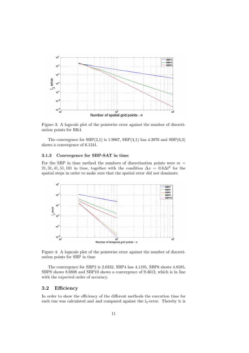

Figure 3: A logscale plot of the pointwise error against the number of discretisation points for RK4

The convergence for  $SBP(2,1)$  is 1.9967,  $SBP(4,1)$  has 4.3976 and  $SBP(6,2)$ shows a convergence of 6.1241.

#### 3.1.3 Convergence for SBP-SAT in time

For the SBP in time method the numbers of discretisation points were  $m =$ 21, 31, 41, 51, 101 in time, together with the condition  $\Delta x = 0.8 \Delta t^2$  for the spatial steps in order to make sure that the spatial error did not dominate.



Figure 4: A logscale plot of the pointwise error against the number of discretisation points for SBP in time

The convergence for SBP2 is 2.0332, SBP4 has 4.1195, SBP6 shows 4.8585, SBP8 shows 8.6808 and SBP10 shows a convergence of 9.4612, which is in line with the expected order of accuracy.

# 3.2 Efficiency

In order to show the efficiency of the different methods the execution time for each run was calculated and and compared against the  $l_2$ -error. Thereby it is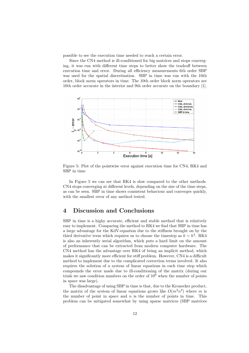possible to see the execution time needed to reach a certain error.

Since the CN4 method is ill-conditioned for big matrices and stops converging, it was run with different time steps to better show the tradeoff between execution time and error. During all efficiency measurements 6th order SBP was used for the spatial discretisation. SBP in time was run with the 10th order, block norm operators in time. The 10th order block norm operators are 10th order accurate in the interior and 9th order accurate on the boundary [1].



Figure 5: Plot of the pointwise error against execution time for CN4, RK4 and SBP in time

In Figure 5 we can see that RK4 is slow compared to the other methods. CN4 stops converging at different levels, depending on the size of the time steps, as can be seen. SBP in time shows consistent behaviour and converges quickly, with the smallest error of any method tested.

# 4 Discussion and Conclusions

SBP in time is a highy accurate, efficient and stable method that is relatively easy to implement. Comparing the method to RK4 we find that SBP in time has a large advantage for the KdV-equation due to the stiffness brought on by the third derivative term which requires us to choose the timestep as  $k \sim h^3$ . RK4 is also an inherently serial algorithm, which puts a hard limit on the amount of performance that can be extracted from modern computer hardware. The CN4 method has the advantage over RK4 of being an implicit method, which makes it significantly more efficient for stiff problem. However, CN4 is a difficult method to implement due to the complicated correction terms involved. It also requires the solution of a system of linear equations in each time step which compounds the error made due to ill-conditioning of the matrix (during our trials we saw condition numbers on the order of  $10<sup>6</sup>$  when the number of points in space was large).

The disadvantage of using SBP in time is that, due to the Kronecker product, the matrix of the system of linear equations grows like  $O(m^2n^2)$  where m is the number of point in space and  $n$  is the number of points in time. This problem can be mitigated somewhat by using sparse matrices (SBP matrices